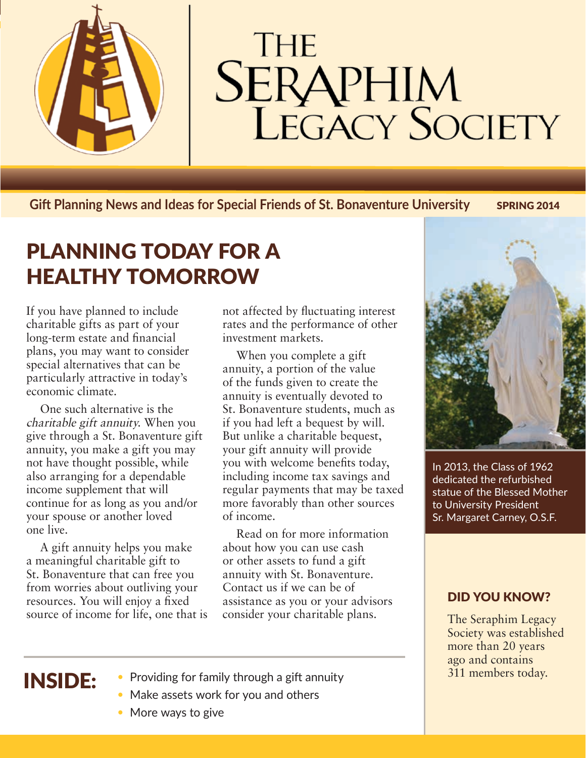

# **THE SERAPHIM**<br>LEGACY SOCIETY

**Gift Planning News and Ideas for Special Friends of St. Bonaventure University SPRING 2014** 

## PLANNING TODAY FOR A HEALTHY TOMORROW

If you have planned to include charitable gifts as part of your long-term estate and financial plans, you may want to consider special alternatives that can be particularly attractive in today's economic climate.

One such alternative is the charitable gift annuity. When you give through a St. Bonaventure gift annuity, you make a gift you may not have thought possible, while also arranging for a dependable income supplement that will continue for as long as you and/or your spouse or another loved one live.

A gift annuity helps you make a meaningful charitable gift to St. Bonaventure that can free you from worries about outliving your resources. You will enjoy a fixed source of income for life, one that is not affected by fluctuating interest rates and the performance of other investment markets.

When you complete a gift annuity, a portion of the value of the funds given to create the annuity is eventually devoted to St. Bonaventure students, much as if you had left a bequest by will. But unlike a charitable bequest, your gift annuity will provide you with welcome benefits today, including income tax savings and regular payments that may be taxed more favorably than other sources of income.

Read on for more information about how you can use cash or other assets to fund a gift annuity with St. Bonaventure. Contact us if we can be of assistance as you or your advisors consider your charitable plans.



In 2013, the Class of 1962 dedicated the refurbished statue of the Blessed Mother to University President Sr. Margaret Carney, O.S.F.

#### DID YOU KNOW?

The Seraphim Legacy Society was established more than 20 years ago and contains

### INSIDE:

- Providing for family through a gift annuity **1998** and 11 members today.
- Make assets work for you and others
- More ways to give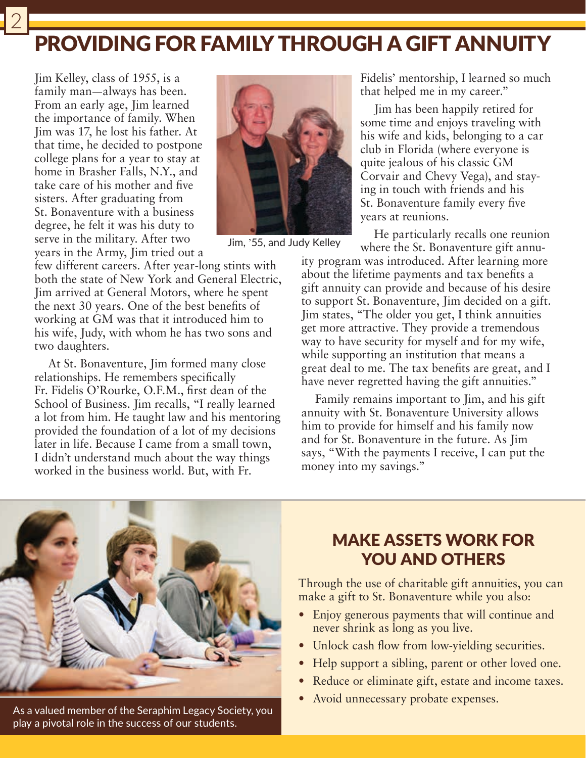## PROVIDING FOR FAMILY THROUGH A GIFT ANNUITY

Jim Kelley, class of 1955, is a family man—always has been. From an early age, Jim learned the importance of family. When Jim was 17, he lost his father. At that time, he decided to postpone college plans for a year to stay at home in Brasher Falls, N.Y., and take care of his mother and five sisters. After graduating from St. Bonaventure with a business degree, he felt it was his duty to serve in the military. After two years in the Army, Jim tried out a



Jim, '55, and Judy Kelley

few different careers. After year-long stints with both the state of New York and General Electric, Jim arrived at General Motors, where he spent the next 30 years. One of the best benefits of working at GM was that it introduced him to his wife, Judy, with whom he has two sons and two daughters.

At St. Bonaventure, Jim formed many close relationships. He remembers specifically Fr. Fidelis O'Rourke, O.F.M., first dean of the School of Business. Jim recalls, "I really learned a lot from him. He taught law and his mentoring provided the foundation of a lot of my decisions later in life. Because I came from a small town, I didn't understand much about the way things worked in the business world. But, with Fr.

Fidelis' mentorship, I learned so much that helped me in my career."

Jim has been happily retired for some time and enjoys traveling with his wife and kids, belonging to a car club in Florida (where everyone is quite jealous of his classic GM Corvair and Chevy Vega), and staying in touch with friends and his St. Bonaventure family every five years at reunions.

He particularly recalls one reunion where the St. Bonaventure gift annu-

ity program was introduced. After learning more about the lifetime payments and tax benefits a gift annuity can provide and because of his desire to support St. Bonaventure, Jim decided on a gift. Jim states, "The older you get, I think annuities get more attractive. They provide a tremendous way to have security for myself and for my wife, while supporting an institution that means a great deal to me. The tax benefits are great, and I have never regretted having the gift annuities."

Family remains important to Jim, and his gift annuity with St. Bonaventure University allows him to provide for himself and his family now and for St. Bonaventure in the future. As Jim says, "With the payments I receive, I can put the money into my savings."



As a valued member of the Seraphim Legacy Society, you play a pivotal role in the success of our students.

#### MAKE ASSETS WORK FOR YOU AND OTHERS

Through the use of charitable gift annuities, you can make a gift to St. Bonaventure while you also:

- Enjoy generous payments that will continue and never shrink as long as you live.
- Unlock cash flow from low-yielding securities.
- Help support a sibling, parent or other loved one.
- Reduce or eliminate gift, estate and income taxes.
- Avoid unnecessary probate expenses.

2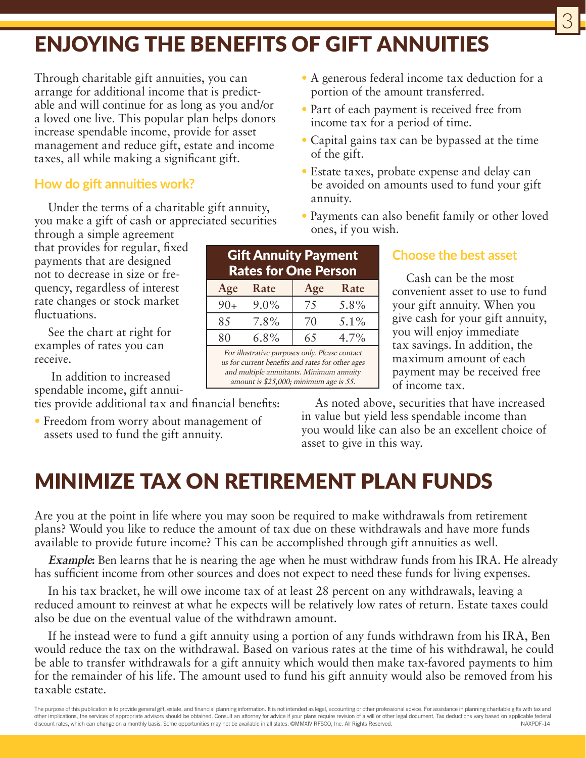# ENJOYING THE BENEFITS OF GIFT ANNUITIES

Through charitable gift annuities, you can arrange for additional income that is predictable and will continue for as long as you and/or a loved one live. This popular plan helps donors increase spendable income, provide for asset management and reduce gift, estate and income taxes, all while making a significant gift.

#### **How do gift annuities work?**

Under the terms of a charitable gift annuity, you make a gift of cash or appreciated securities

through a simple agreement that provides for regular, fixed payments that are designed not to decrease in size or frequency, regardless of interest rate changes or stock market fluctuations.

See the chart at right for examples of rates you can receive.

 In addition to increased spendable income, gift annui-

ties provide additional tax and financial benefits:

• Freedom from worry about management of assets used to fund the gift annuity.

| <b>Gift Annuity Payment</b><br><b>Rates for One Person</b> |         |     |         |
|------------------------------------------------------------|---------|-----|---------|
| Age                                                        | Rate    | Age | Rate    |
| $90+$                                                      | $9.0\%$ | 75  | 5.8%    |
| 85                                                         | 7.8%    | 70  | $5.1\%$ |
| 80                                                         | $6.8\%$ | 65  | 4.7%    |
| For illustrative purposes only. Please contact             |         |     |         |

us for current benefits and rates for other ages and multiple annuitants. Minimum annuity amount is \$25,000; minimum age is 55.

• A generous federal income tax deduction for a portion of the amount transferred.

3

- Part of each payment is received free from income tax for a period of time.
- Capital gains tax can be bypassed at the time of the gift.
- Estate taxes, probate expense and delay can be avoided on amounts used to fund your gift annuity.
- Payments can also benefit family or other loved ones, if you wish.

#### **Choose the best asset**

Cash can be the most convenient asset to use to fund your gift annuity. When you give cash for your gift annuity, you will enjoy immediate tax savings. In addition, the maximum amount of each payment may be received free of income tax.

As noted above, securities that have increased in value but yield less spendable income than you would like can also be an excellent choice of asset to give in this way.

## MINIMIZE TAX ON RETIREMENT PLAN FUNDS

Are you at the point in life where you may soon be required to make withdrawals from retirement plans? Would you like to reduce the amount of tax due on these withdrawals and have more funds available to provide future income? This can be accomplished through gift annuities as well.

**Example:** Ben learns that he is nearing the age when he must withdraw funds from his IRA. He already has sufficient income from other sources and does not expect to need these funds for living expenses.

In his tax bracket, he will owe income tax of at least 28 percent on any withdrawals, leaving a reduced amount to reinvest at what he expects will be relatively low rates of return. Estate taxes could also be due on the eventual value of the withdrawn amount.

If he instead were to fund a gift annuity using a portion of any funds withdrawn from his IRA, Ben would reduce the tax on the withdrawal. Based on various rates at the time of his withdrawal, he could be able to transfer withdrawals for a gift annuity which would then make tax-favored payments to him for the remainder of his life. The amount used to fund his gift annuity would also be removed from his taxable estate.